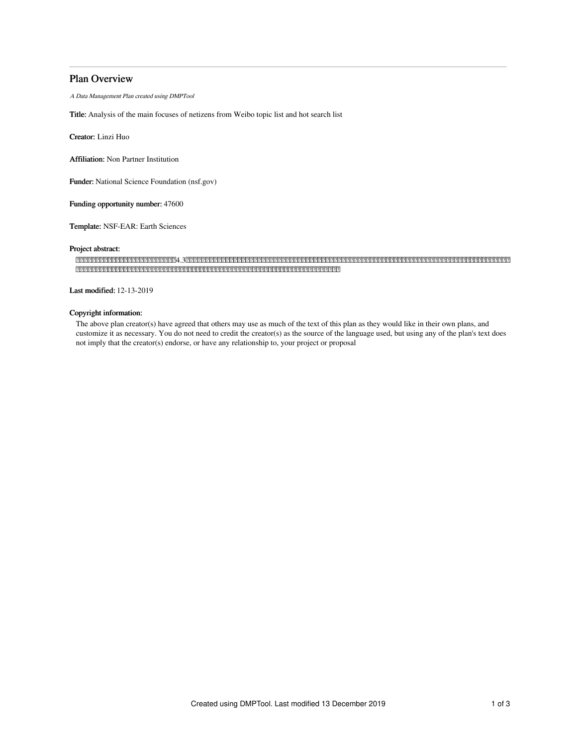# Plan Overview

A Data Management Plan created using DMPTool

Title: Analysis of the main focuses of netizens from Weibo topic list and hot search list

Creator: Linzi Huo

Affiliation: Non Partner Institution

Funder: National Science Foundation (nsf.gov)

Funding opportunity number: 47600

Template: NSF-EAR: Earth Sciences

# Project abstract:

4.3 

Last modified: 12-13-2019

## Copyright information:

The above plan creator(s) have agreed that others may use as much of the text of this plan as they would like in their own plans, and customize it as necessary. You do not need to credit the creator(s) as the source of the language used, but using any of the plan's text does not imply that the creator(s) endorse, or have any relationship to, your project or proposal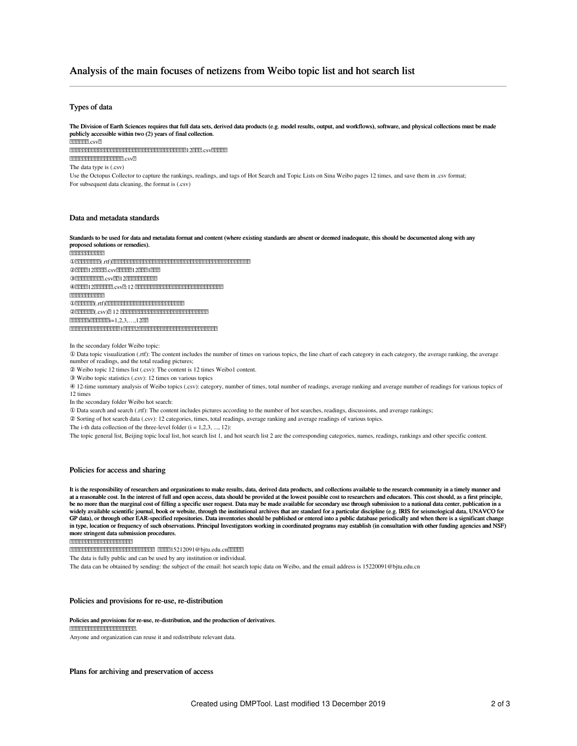# Analysis of the main focuses of netizens from Weibo topic list and hot search list

### Types of data

The Division of Earth Sciences requires that full data sets, derived data products (e.g. model results, output, and workflows), software, and physical collections must be made publicly accessible within two (2) years of final collection. 222222.csv2 12.csv 2222222222222222222 csv The data type is (.csv) Use the Octopus Collector to capture the rankings, readings, and tags of Hot Search and Topic Lists on Sina Weibo pages 12 times, and save them in .csv format; For subsequent data cleaning, the format is (.csv)

### Data and metadata standards

Standards to be used for data and metadata format and content (where existing standards are absent or deemed inadequate, this should be documented along with any proposed solutions or remedies). 2222222222222 ①(.rtf)  $(2)$ 222221 222222  $\cos 222222122221222212222$  $\Omega$ . 2012/2012/2012  $\Omega$ .  $\Omega$ . 2012/2012/2012/2012/2012 ④12.csv:12  $[212121212121212121212]$ **①2727222(.rtf)22222222222222222222222222222** ②(.csv) 12  $[1212121212121211]=1,2,3,\ldots,12$ 22 12

In the secondary folder Weibo topic:

① Data topic visualization (.rtf): The content includes the number of times on various topics, the line chart of each category in each category, the average ranking, the average number of readings, and the total reading pictures;

② Weibo topic 12 times list (.csv): The content is 12 times Weibo1 content.

③ Weibo topic statistics (.csv): 12 times on various topics

④ 12-time summary analysis of Weibo topics (.csv): category, number of times, total number of readings, average ranking and average number of readings for various topics of 12 times

In the secondary folder Weibo hot search:

① Data search and search (.rtf): The content includes pictures according to the number of hot searches, readings, discussions, and average rankings;

② Sorting of hot search data (.csv): 12 categories, times, total readings, average ranking and average readings of various topics.

The i-th data collection of the three-level folder  $(i = 1, 2, 3, ..., 12)$ :

The topic general list, Beijing topic local list, hot search list 1, and hot search list 2 are the corresponding categories, names, readings, rankings and other specific content.

#### Policies for access and sharing

It is the responsibility of researchers and organizations to make results, data, derived data products, and collections available to the research community in a timely manner and at a reasonable cost. In the interest of full and open access, data should be provided at the lowest possible cost to researchers and educators. This cost should, as a first principle, be no more than the marginal cost of filling a specific user request. Data may be made available for secondary use through submission to a national data center, publication in a widely available scientific journal, book or website, through the institutional archives that are standard for a particular discipline (e.g. IRIS for seismological data, UNAVCO for GP data), or through other EAR-specified repositories. Data inventories should be published or entered into a public database periodically and when there is a significant change in type, location or frequency of such observations. Principal Investigators working in coordinated programs may establish (in consultation with other funding agencies and NSF) more stringent data submission procedures.

2222222222222222222222

222222222222222222222222222222222115212091@bjtu.edu.cn222222

The data is fully public and can be used by any institution or individual.

The data can be obtained by sending: the subject of the email: hot search topic data on Weibo, and the email address is 15220091@bjtu.edu.cn

#### Policies and provisions for re-use, re-distribution

#### Policies and provisions for re-use, re-distribution, and the production of derivatives.

## 22222222222222222222222

Anyone and organization can reuse it and redistribute relevant data.

Plans for archiving and preservation of access